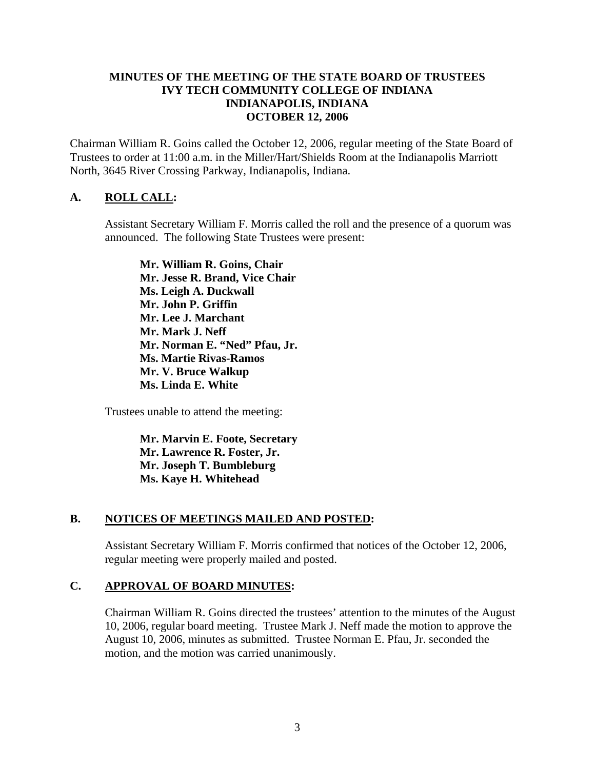### **MINUTES OF THE MEETING OF THE STATE BOARD OF TRUSTEES IVY TECH COMMUNITY COLLEGE OF INDIANA INDIANAPOLIS, INDIANA OCTOBER 12, 2006**

Chairman William R. Goins called the October 12, 2006, regular meeting of the State Board of Trustees to order at 11:00 a.m. in the Miller/Hart/Shields Room at the Indianapolis Marriott North, 3645 River Crossing Parkway, Indianapolis, Indiana.

## **A. ROLL CALL:**

Assistant Secretary William F. Morris called the roll and the presence of a quorum was announced. The following State Trustees were present:

**Mr. William R. Goins, Chair Mr. Jesse R. Brand, Vice Chair Ms. Leigh A. Duckwall Mr. John P. Griffin Mr. Lee J. Marchant Mr. Mark J. Neff Mr. Norman E. "Ned" Pfau, Jr. Ms. Martie Rivas-Ramos Mr. V. Bruce Walkup Ms. Linda E. White** 

Trustees unable to attend the meeting:

**Mr. Marvin E. Foote, Secretary Mr. Lawrence R. Foster, Jr. Mr. Joseph T. Bumbleburg Ms. Kaye H. Whitehead** 

#### **B. NOTICES OF MEETINGS MAILED AND POSTED:**

Assistant Secretary William F. Morris confirmed that notices of the October 12, 2006, regular meeting were properly mailed and posted.

#### **C. APPROVAL OF BOARD MINUTES:**

Chairman William R. Goins directed the trustees' attention to the minutes of the August 10, 2006, regular board meeting. Trustee Mark J. Neff made the motion to approve the August 10, 2006, minutes as submitted. Trustee Norman E. Pfau, Jr. seconded the motion, and the motion was carried unanimously.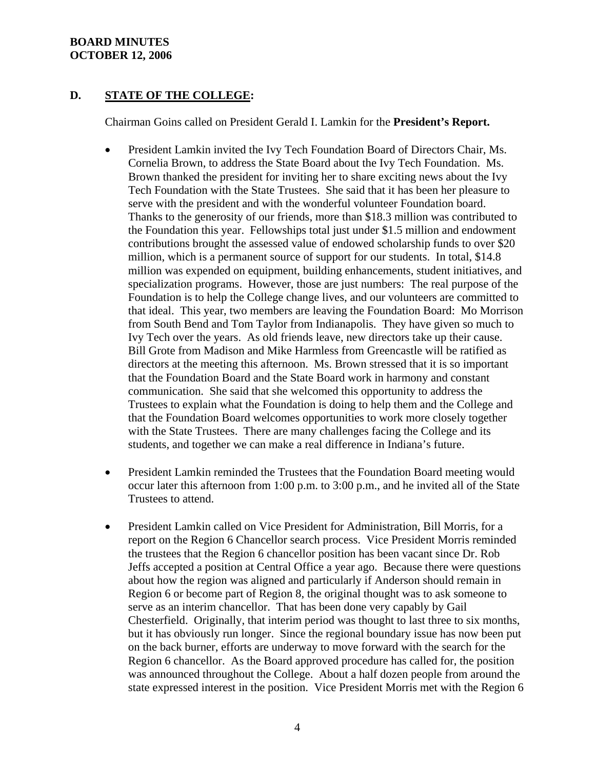### **BOARD MINUTES OCTOBER 12, 2006**

## **D. STATE OF THE COLLEGE:**

Chairman Goins called on President Gerald I. Lamkin for the **President's Report.**

- President Lamkin invited the Ivy Tech Foundation Board of Directors Chair, Ms. Cornelia Brown, to address the State Board about the Ivy Tech Foundation. Ms. Brown thanked the president for inviting her to share exciting news about the Ivy Tech Foundation with the State Trustees. She said that it has been her pleasure to serve with the president and with the wonderful volunteer Foundation board. Thanks to the generosity of our friends, more than \$18.3 million was contributed to the Foundation this year. Fellowships total just under \$1.5 million and endowment contributions brought the assessed value of endowed scholarship funds to over \$20 million, which is a permanent source of support for our students. In total, \$14.8 million was expended on equipment, building enhancements, student initiatives, and specialization programs. However, those are just numbers: The real purpose of the Foundation is to help the College change lives, and our volunteers are committed to that ideal. This year, two members are leaving the Foundation Board: Mo Morrison from South Bend and Tom Taylor from Indianapolis. They have given so much to Ivy Tech over the years. As old friends leave, new directors take up their cause. Bill Grote from Madison and Mike Harmless from Greencastle will be ratified as directors at the meeting this afternoon. Ms. Brown stressed that it is so important that the Foundation Board and the State Board work in harmony and constant communication. She said that she welcomed this opportunity to address the Trustees to explain what the Foundation is doing to help them and the College and that the Foundation Board welcomes opportunities to work more closely together with the State Trustees. There are many challenges facing the College and its students, and together we can make a real difference in Indiana's future.
- President Lamkin reminded the Trustees that the Foundation Board meeting would occur later this afternoon from 1:00 p.m. to 3:00 p.m., and he invited all of the State Trustees to attend.
- President Lamkin called on Vice President for Administration, Bill Morris, for a report on the Region 6 Chancellor search process. Vice President Morris reminded the trustees that the Region 6 chancellor position has been vacant since Dr. Rob Jeffs accepted a position at Central Office a year ago. Because there were questions about how the region was aligned and particularly if Anderson should remain in Region 6 or become part of Region 8, the original thought was to ask someone to serve as an interim chancellor. That has been done very capably by Gail Chesterfield. Originally, that interim period was thought to last three to six months, but it has obviously run longer. Since the regional boundary issue has now been put on the back burner, efforts are underway to move forward with the search for the Region 6 chancellor. As the Board approved procedure has called for, the position was announced throughout the College. About a half dozen people from around the state expressed interest in the position. Vice President Morris met with the Region 6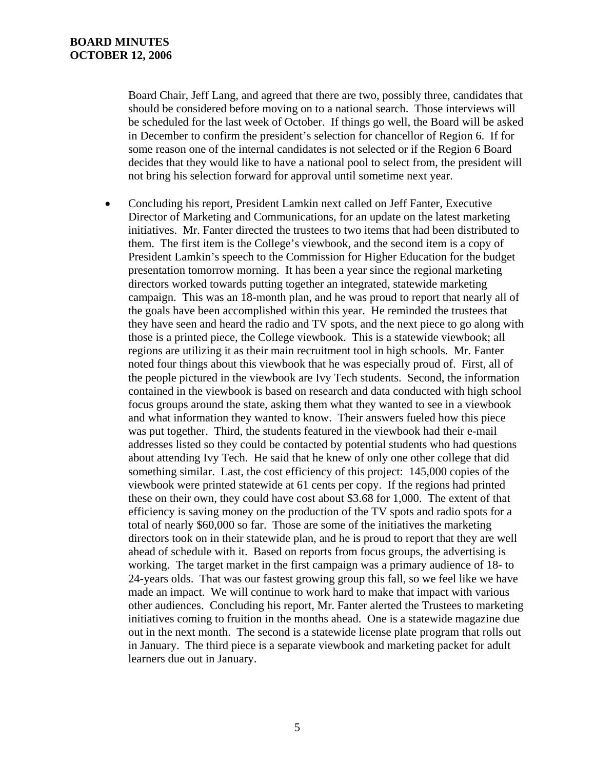Board Chair, Jeff Lang, and agreed that there are two, possibly three, candidates that should be considered before moving on to a national search. Those interviews will be scheduled for the last week of October. If things go well, the Board will be asked in December to confirm the president's selection for chancellor of Region 6. If for some reason one of the internal candidates is not selected or if the Region 6 Board decides that they would like to have a national pool to select from, the president will not bring his selection forward for approval until sometime next year.

• Concluding his report, President Lamkin next called on Jeff Fanter, Executive Director of Marketing and Communications, for an update on the latest marketing initiatives. Mr. Fanter directed the trustees to two items that had been distributed to them. The first item is the College's viewbook, and the second item is a copy of President Lamkin's speech to the Commission for Higher Education for the budget presentation tomorrow morning. It has been a year since the regional marketing directors worked towards putting together an integrated, statewide marketing campaign. This was an 18-month plan, and he was proud to report that nearly all of the goals have been accomplished within this year. He reminded the trustees that they have seen and heard the radio and TV spots, and the next piece to go along with those is a printed piece, the College viewbook. This is a statewide viewbook; all regions are utilizing it as their main recruitment tool in high schools. Mr. Fanter noted four things about this viewbook that he was especially proud of. First, all of the people pictured in the viewbook are Ivy Tech students. Second, the information contained in the viewbook is based on research and data conducted with high school focus groups around the state, asking them what they wanted to see in a viewbook and what information they wanted to know. Their answers fueled how this piece was put together. Third, the students featured in the viewbook had their e-mail addresses listed so they could be contacted by potential students who had questions about attending Ivy Tech. He said that he knew of only one other college that did something similar. Last, the cost efficiency of this project: 145,000 copies of the viewbook were printed statewide at 61 cents per copy. If the regions had printed these on their own, they could have cost about \$3.68 for 1,000. The extent of that efficiency is saving money on the production of the TV spots and radio spots for a total of nearly \$60,000 so far. Those are some of the initiatives the marketing directors took on in their statewide plan, and he is proud to report that they are well ahead of schedule with it. Based on reports from focus groups, the advertising is working. The target market in the first campaign was a primary audience of 18- to 24-years olds. That was our fastest growing group this fall, so we feel like we have made an impact. We will continue to work hard to make that impact with various other audiences. Concluding his report, Mr. Fanter alerted the Trustees to marketing initiatives coming to fruition in the months ahead. One is a statewide magazine due out in the next month. The second is a statewide license plate program that rolls out in January. The third piece is a separate viewbook and marketing packet for adult learners due out in January.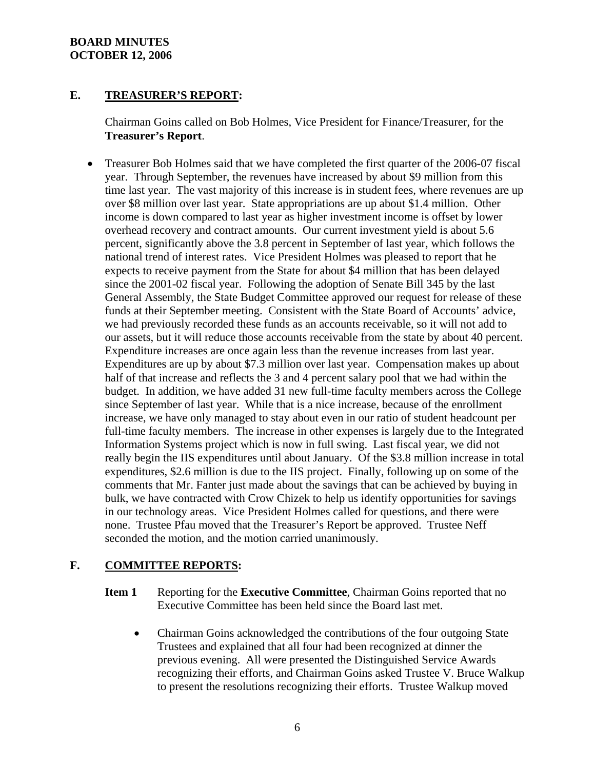### **BOARD MINUTES OCTOBER 12, 2006**

## **E. TREASURER'S REPORT:**

Chairman Goins called on Bob Holmes, Vice President for Finance/Treasurer, for the **Treasurer's Report**.

• Treasurer Bob Holmes said that we have completed the first quarter of the 2006-07 fiscal year. Through September, the revenues have increased by about \$9 million from this time last year. The vast majority of this increase is in student fees, where revenues are up over \$8 million over last year. State appropriations are up about \$1.4 million. Other income is down compared to last year as higher investment income is offset by lower overhead recovery and contract amounts. Our current investment yield is about 5.6 percent, significantly above the 3.8 percent in September of last year, which follows the national trend of interest rates. Vice President Holmes was pleased to report that he expects to receive payment from the State for about \$4 million that has been delayed since the 2001-02 fiscal year. Following the adoption of Senate Bill 345 by the last General Assembly, the State Budget Committee approved our request for release of these funds at their September meeting. Consistent with the State Board of Accounts' advice, we had previously recorded these funds as an accounts receivable, so it will not add to our assets, but it will reduce those accounts receivable from the state by about 40 percent. Expenditure increases are once again less than the revenue increases from last year. Expenditures are up by about \$7.3 million over last year. Compensation makes up about half of that increase and reflects the 3 and 4 percent salary pool that we had within the budget. In addition, we have added 31 new full-time faculty members across the College since September of last year. While that is a nice increase, because of the enrollment increase, we have only managed to stay about even in our ratio of student headcount per full-time faculty members. The increase in other expenses is largely due to the Integrated Information Systems project which is now in full swing. Last fiscal year, we did not really begin the IIS expenditures until about January. Of the \$3.8 million increase in total expenditures, \$2.6 million is due to the IIS project. Finally, following up on some of the comments that Mr. Fanter just made about the savings that can be achieved by buying in bulk, we have contracted with Crow Chizek to help us identify opportunities for savings in our technology areas. Vice President Holmes called for questions, and there were none. Trustee Pfau moved that the Treasurer's Report be approved. Trustee Neff seconded the motion, and the motion carried unanimously.

# **F. COMMITTEE REPORTS:**

- **Item 1** Reporting for the **Executive Committee**, Chairman Goins reported that no Executive Committee has been held since the Board last met.
	- Chairman Goins acknowledged the contributions of the four outgoing State Trustees and explained that all four had been recognized at dinner the previous evening. All were presented the Distinguished Service Awards recognizing their efforts, and Chairman Goins asked Trustee V. Bruce Walkup to present the resolutions recognizing their efforts. Trustee Walkup moved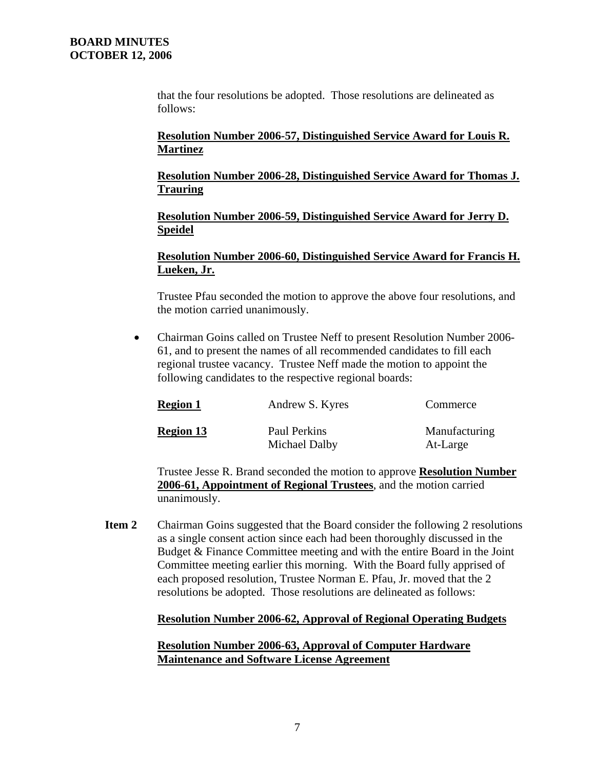that the four resolutions be adopted. Those resolutions are delineated as follows:

### **Resolution Number 2006-57, Distinguished Service Award for Louis R. Martinez**

**Resolution Number 2006-28, Distinguished Service Award for Thomas J. Trauring**

**Resolution Number 2006-59, Distinguished Service Award for Jerry D. Speidel**

## **Resolution Number 2006-60, Distinguished Service Award for Francis H. Lueken, Jr.**

Trustee Pfau seconded the motion to approve the above four resolutions, and the motion carried unanimously.

• Chairman Goins called on Trustee Neff to present Resolution Number 2006-61, and to present the names of all recommended candidates to fill each regional trustee vacancy. Trustee Neff made the motion to appoint the following candidates to the respective regional boards:

| <b>Region 1</b>  | Andrew S. Kyres               | Commerce                  |
|------------------|-------------------------------|---------------------------|
| <b>Region 13</b> | Paul Perkins<br>Michael Dalby | Manufacturing<br>At-Large |

Trustee Jesse R. Brand seconded the motion to approve **Resolution Number 2006-61, Appointment of Regional Trustees**, and the motion carried unanimously.

**Item 2** Chairman Goins suggested that the Board consider the following 2 resolutions as a single consent action since each had been thoroughly discussed in the Budget & Finance Committee meeting and with the entire Board in the Joint Committee meeting earlier this morning. With the Board fully apprised of each proposed resolution, Trustee Norman E. Pfau, Jr. moved that the 2 resolutions be adopted. Those resolutions are delineated as follows:

## **Resolution Number 2006-62, Approval of Regional Operating Budgets**

### **Resolution Number 2006-63, Approval of Computer Hardware Maintenance and Software License Agreement**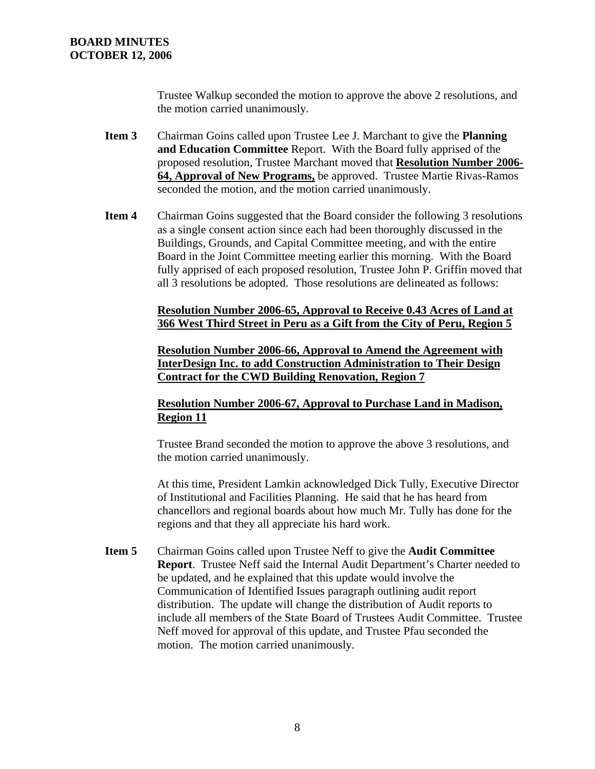Trustee Walkup seconded the motion to approve the above 2 resolutions, and the motion carried unanimously.

- **Item 3** Chairman Goins called upon Trustee Lee J. Marchant to give the **Planning and Education Committee** Report. With the Board fully apprised of the proposed resolution, Trustee Marchant moved that **Resolution Number 2006- 64, Approval of New Programs,** be approved. Trustee Martie Rivas-Ramos seconded the motion, and the motion carried unanimously.
- **Item 4** Chairman Goins suggested that the Board consider the following 3 resolutions as a single consent action since each had been thoroughly discussed in the Buildings, Grounds, and Capital Committee meeting, and with the entire Board in the Joint Committee meeting earlier this morning. With the Board fully apprised of each proposed resolution, Trustee John P. Griffin moved that all 3 resolutions be adopted. Those resolutions are delineated as follows:

**Resolution Number 2006-65, Approval to Receive 0.43 Acres of Land at 366 West Third Street in Peru as a Gift from the City of Peru, Region 5**

**Resolution Number 2006-66, Approval to Amend the Agreement with InterDesign Inc. to add Construction Administration to Their Design Contract for the CWD Building Renovation, Region 7**

### **Resolution Number 2006-67, Approval to Purchase Land in Madison, Region 11**

Trustee Brand seconded the motion to approve the above 3 resolutions, and the motion carried unanimously.

At this time, President Lamkin acknowledged Dick Tully, Executive Director of Institutional and Facilities Planning. He said that he has heard from chancellors and regional boards about how much Mr. Tully has done for the regions and that they all appreciate his hard work.

**Item 5** Chairman Goins called upon Trustee Neff to give the **Audit Committee Report**. Trustee Neff said the Internal Audit Department's Charter needed to be updated, and he explained that this update would involve the Communication of Identified Issues paragraph outlining audit report distribution. The update will change the distribution of Audit reports to include all members of the State Board of Trustees Audit Committee. Trustee Neff moved for approval of this update, and Trustee Pfau seconded the motion. The motion carried unanimously.